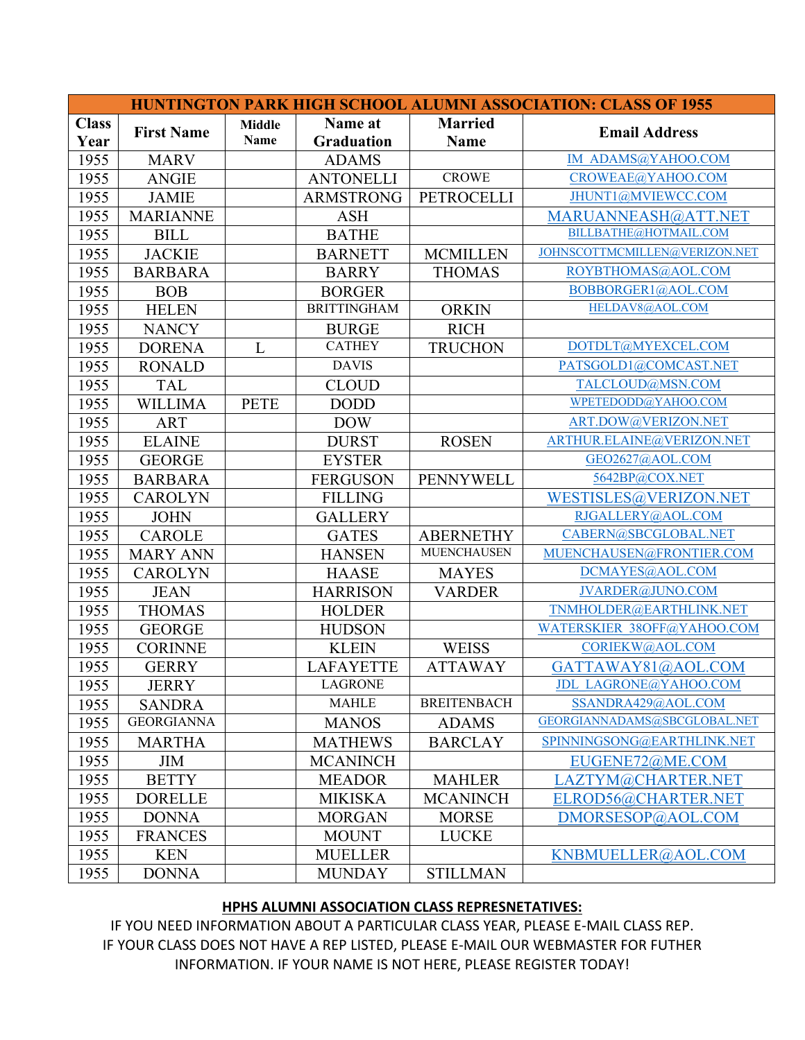| <b>HUNTINGTON PARK HIGH SCHOOL ALUMNI ASSOCIATION: CLASS OF 1955</b> |                   |                       |                              |                               |                               |  |  |  |  |
|----------------------------------------------------------------------|-------------------|-----------------------|------------------------------|-------------------------------|-------------------------------|--|--|--|--|
| <b>Class</b><br>Year                                                 | <b>First Name</b> | <b>Middle</b><br>Name | Name at<br><b>Graduation</b> | <b>Married</b><br><b>Name</b> | <b>Email Address</b>          |  |  |  |  |
| 1955                                                                 | <b>MARV</b>       |                       | <b>ADAMS</b>                 |                               | IM ADAMS@YAHOO.COM            |  |  |  |  |
| 1955                                                                 | <b>ANGIE</b>      |                       | <b>ANTONELLI</b>             | <b>CROWE</b>                  | CROWEAE@YAHOO.COM             |  |  |  |  |
| 1955                                                                 | <b>JAMIE</b>      |                       | <b>ARMSTRONG</b>             | <b>PETROCELLI</b>             | JHUNT1@MVIEWCC.COM            |  |  |  |  |
| 1955                                                                 | <b>MARIANNE</b>   |                       | <b>ASH</b>                   |                               | MARUANNEASH@ATT.NET           |  |  |  |  |
| 1955                                                                 | <b>BILL</b>       |                       | <b>BATHE</b>                 |                               | BILLBATHE@HOTMAIL.COM         |  |  |  |  |
| 1955                                                                 | <b>JACKIE</b>     |                       | <b>BARNETT</b>               | <b>MCMILLEN</b>               | JOHNSCOTTMCMILLEN@VERIZON.NET |  |  |  |  |
| 1955                                                                 | <b>BARBARA</b>    |                       | <b>BARRY</b>                 | <b>THOMAS</b>                 | ROYBTHOMAS@AOL.COM            |  |  |  |  |
| 1955                                                                 | <b>BOB</b>        |                       | <b>BORGER</b>                |                               | BOBBORGER1@AOL.COM            |  |  |  |  |
| 1955                                                                 | <b>HELEN</b>      |                       | <b>BRITTINGHAM</b>           | <b>ORKIN</b>                  | HELDAV8@AOL.COM               |  |  |  |  |
| 1955                                                                 | <b>NANCY</b>      |                       | <b>BURGE</b>                 | <b>RICH</b>                   |                               |  |  |  |  |
| 1955                                                                 | <b>DORENA</b>     | L                     | <b>CATHEY</b>                | <b>TRUCHON</b>                | DOTDLT@MYEXCEL.COM            |  |  |  |  |
| 1955                                                                 | <b>RONALD</b>     |                       | <b>DAVIS</b>                 |                               | PATSGOLD1@COMCAST.NET         |  |  |  |  |
| 1955                                                                 | <b>TAL</b>        |                       | <b>CLOUD</b>                 |                               | TALCLOUD@MSN.COM              |  |  |  |  |
| 1955                                                                 | <b>WILLIMA</b>    | <b>PETE</b>           | <b>DODD</b>                  |                               | WPETEDODD@YAHOO.COM           |  |  |  |  |
| 1955                                                                 | <b>ART</b>        |                       | <b>DOW</b>                   |                               | ART.DOW@VERIZON.NET           |  |  |  |  |
| 1955                                                                 | <b>ELAINE</b>     |                       | <b>DURST</b>                 | <b>ROSEN</b>                  | ARTHUR.ELAINE@VERIZON.NET     |  |  |  |  |
| 1955                                                                 | <b>GEORGE</b>     |                       | <b>EYSTER</b>                |                               | GEO2627@AOL.COM               |  |  |  |  |
| 1955                                                                 | <b>BARBARA</b>    |                       | <b>FERGUSON</b>              | <b>PENNYWELL</b>              | 5642BP@COX.NET                |  |  |  |  |
| 1955                                                                 | <b>CAROLYN</b>    |                       | <b>FILLING</b>               |                               | WESTISLES@VERIZON.NET         |  |  |  |  |
| 1955                                                                 | <b>JOHN</b>       |                       | <b>GALLERY</b>               |                               | RJGALLERY@AOL.COM             |  |  |  |  |
| 1955                                                                 | <b>CAROLE</b>     |                       | <b>GATES</b>                 | <b>ABERNETHY</b>              | CABERN@SBCGLOBAL.NET          |  |  |  |  |
| 1955                                                                 | <b>MARY ANN</b>   |                       | <b>HANSEN</b>                | <b>MUENCHAUSEN</b>            | MUENCHAUSEN@FRONTIER.COM      |  |  |  |  |
| 1955                                                                 | <b>CAROLYN</b>    |                       | <b>HAASE</b>                 | <b>MAYES</b>                  | DCMAYES@AOL.COM               |  |  |  |  |
| 1955                                                                 | <b>JEAN</b>       |                       | <b>HARRISON</b>              | <b>VARDER</b>                 | JVARDER@JUNO.COM              |  |  |  |  |
| 1955                                                                 | <b>THOMAS</b>     |                       | <b>HOLDER</b>                |                               | TNMHOLDER@EARTHLINK.NET       |  |  |  |  |
| 1955                                                                 | <b>GEORGE</b>     |                       | <b>HUDSON</b>                |                               | WATERSKIER 38OFF@YAHOO.COM    |  |  |  |  |
| 1955                                                                 | <b>CORINNE</b>    |                       | <b>KLEIN</b>                 | <b>WEISS</b>                  | CORIEKW@AOL.COM               |  |  |  |  |
| 1955                                                                 | <b>GERRY</b>      |                       | <b>LAFAYETTE</b>             | <b>ATTAWAY</b>                | GATTAWAY81@AOL.COM            |  |  |  |  |
| 1955                                                                 | <b>JERRY</b>      |                       | <b>LAGRONE</b>               |                               | <b>JDL LAGRONE@YAHOO.COM</b>  |  |  |  |  |
| 1955                                                                 | <b>SANDRA</b>     |                       | <b>MAHLE</b>                 | <b>BREITENBACH</b>            | SSANDRA429@AOL.COM            |  |  |  |  |
| 1955                                                                 | <b>GEORGIANNA</b> |                       | <b>MANOS</b>                 | <b>ADAMS</b>                  | GEORGIANNADAMS@SBCGLOBAL.NET  |  |  |  |  |
| 1955                                                                 | <b>MARTHA</b>     |                       | <b>MATHEWS</b>               | <b>BARCLAY</b>                | SPINNINGSONG@EARTHLINK.NET    |  |  |  |  |
| 1955                                                                 | <b>JIM</b>        |                       | <b>MCANINCH</b>              |                               | EUGENE72@ME.COM               |  |  |  |  |
| 1955                                                                 | <b>BETTY</b>      |                       | <b>MEADOR</b>                | <b>MAHLER</b>                 | LAZTYM@CHARTER.NET            |  |  |  |  |
| 1955                                                                 | <b>DORELLE</b>    |                       | <b>MIKISKA</b>               | <b>MCANINCH</b>               | ELROD56@CHARTER.NET           |  |  |  |  |
| 1955                                                                 | <b>DONNA</b>      |                       | <b>MORGAN</b>                | <b>MORSE</b>                  | DMORSESOP@AOL.COM             |  |  |  |  |
| 1955                                                                 | <b>FRANCES</b>    |                       | <b>MOUNT</b>                 | <b>LUCKE</b>                  |                               |  |  |  |  |
| 1955                                                                 | <b>KEN</b>        |                       | <b>MUELLER</b>               |                               | KNBMUELLER@AOL.COM            |  |  |  |  |
| 1955                                                                 | <b>DONNA</b>      |                       | <b>MUNDAY</b>                | <b>STILLMAN</b>               |                               |  |  |  |  |

## **HPHS ALUMNI ASSOCIATION CLASS REPRESNETATIVES:**

IF YOU NEED INFORMATION ABOUT A PARTICULAR CLASS YEAR, PLEASE E-MAIL CLASS REP. IF YOUR CLASS DOES NOT HAVE A REP LISTED, PLEASE E-MAIL OUR WEBMASTER FOR FUTHER INFORMATION. IF YOUR NAME IS NOT HERE, PLEASE REGISTER TODAY!